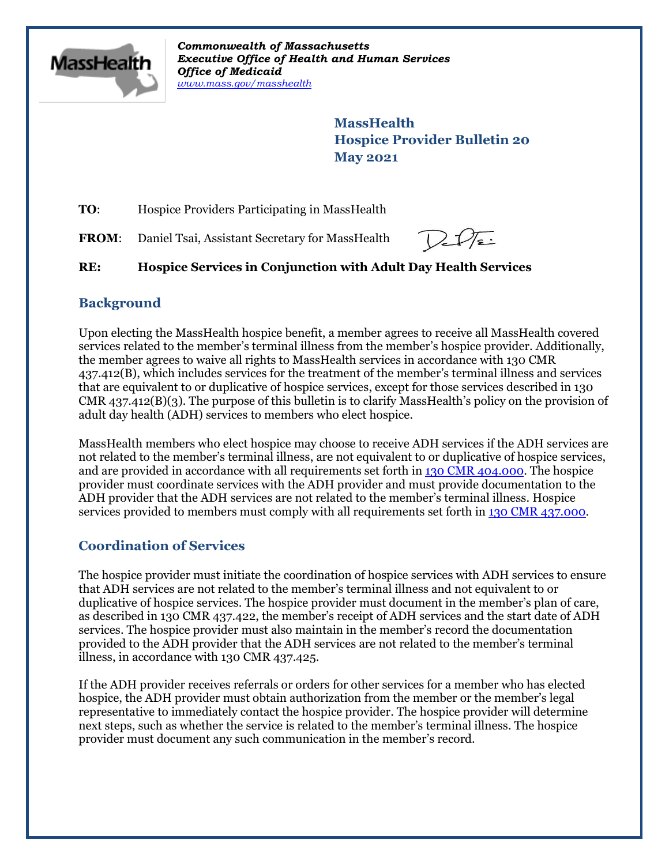

*Commonwealth of Massachusetts Executive Office of Health and Human Services Office of Medicaid [www.mass.gov/masshealth](http://www.mass.gov/masshealth)*

> **MassHealth Hospice Provider Bulletin 20 May 2021**

**TO:** Hospice Providers Participating in MassHealth

**FROM:** Daniel Tsai, Assistant Secretary for MassHealth

# **RE: Hospice Services in Conjunction with Adult Day Health Services**

# **Background**

Upon electing the MassHealth hospice benefit, a member agrees to receive all MassHealth covered services related to the member's terminal illness from the member's hospice provider. Additionally, the member agrees to waive all rights to MassHealth services in accordance with 130 CMR 437.412(B), which includes services for the treatment of the member's terminal illness and services that are equivalent to or duplicative of hospice services, except for those services described in 130  $CMR$  437.412(B)(3). The purpose of this bulletin is to clarify MassHealth's policy on the provision of adult day health (ADH) services to members who elect hospice.

MassHealth members who elect hospice may choose to receive ADH services if the ADH services are not related to the member's terminal illness, are not equivalent to or duplicative of hospice services, and are provided in accordance with all requirements set forth in [130 CMR 404.000.](https://www.mass.gov/regulations/130-CMR-404000-adult-day-health-services) The hospice provider must coordinate services with the ADH provider and must provide documentation to the ADH provider that the ADH services are not related to the member's terminal illness. Hospice services provided to members must comply with all requirements set forth in [130 CMR 437.000](https://www.mass.gov/regulations/130-CMR-437000-hospice-services).

# **Coordination of Services**

The hospice provider must initiate the coordination of hospice services with ADH services to ensure that ADH services are not related to the member's terminal illness and not equivalent to or duplicative of hospice services. The hospice provider must document in the member's plan of care, as described in 130 CMR 437.422, the member's receipt of ADH services and the start date of ADH services. The hospice provider must also maintain in the member's record the documentation provided to the ADH provider that the ADH services are not related to the member's terminal illness, in accordance with 130 CMR 437.425.

If the ADH provider receives referrals or orders for other services for a member who has elected hospice, the ADH provider must obtain authorization from the member or the member's legal representative to immediately contact the hospice provider. The hospice provider will determine next steps, such as whether the service is related to the member's terminal illness. The hospice provider must document any such communication in the member's record.